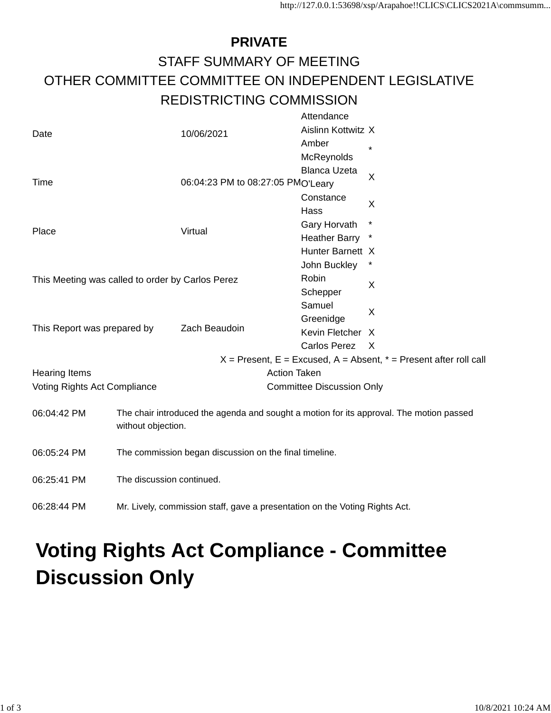## **PRIVATE** STAFF SUMMARY OF MEETING OTHER COMMITTEE COMMITTEE ON INDEPENDENT LEGISLATIVE REDISTRICTING COMMISSION

|                                                  |                                                                             | 10/06/2021                                                                              | Attendance                       |                                                                       |  |
|--------------------------------------------------|-----------------------------------------------------------------------------|-----------------------------------------------------------------------------------------|----------------------------------|-----------------------------------------------------------------------|--|
| Date                                             |                                                                             |                                                                                         | Aislinn Kottwitz X               |                                                                       |  |
|                                                  |                                                                             |                                                                                         | Amber                            | $\star$                                                               |  |
|                                                  |                                                                             |                                                                                         | McReynolds                       |                                                                       |  |
|                                                  |                                                                             |                                                                                         | <b>Blanca Uzeta</b>              |                                                                       |  |
| Time                                             |                                                                             | 06:04:23 PM to 08:27:05 PMO'Leary                                                       |                                  | X                                                                     |  |
|                                                  |                                                                             |                                                                                         | Constance                        |                                                                       |  |
|                                                  |                                                                             |                                                                                         | Hass                             | X                                                                     |  |
| Place                                            |                                                                             | Virtual                                                                                 | Gary Horvath                     | *                                                                     |  |
|                                                  |                                                                             |                                                                                         | <b>Heather Barry</b>             |                                                                       |  |
|                                                  |                                                                             |                                                                                         | Hunter Barnett X                 |                                                                       |  |
|                                                  |                                                                             |                                                                                         | John Buckley                     |                                                                       |  |
| This Meeting was called to order by Carlos Perez |                                                                             |                                                                                         | Robin                            | X                                                                     |  |
|                                                  |                                                                             |                                                                                         | Schepper                         |                                                                       |  |
| This Report was prepared by                      |                                                                             | Zach Beaudoin                                                                           | Samuel                           | X                                                                     |  |
|                                                  |                                                                             |                                                                                         | Greenidge                        |                                                                       |  |
|                                                  |                                                                             |                                                                                         | Kevin Fletcher X                 |                                                                       |  |
|                                                  |                                                                             |                                                                                         | <b>Carlos Perez</b>              | $\mathsf{X}$                                                          |  |
|                                                  |                                                                             |                                                                                         |                                  | $X =$ Present, E = Excused, A = Absent, $* =$ Present after roll call |  |
| <b>Hearing Items</b>                             |                                                                             |                                                                                         | <b>Action Taken</b>              |                                                                       |  |
| Voting Rights Act Compliance                     |                                                                             |                                                                                         | <b>Committee Discussion Only</b> |                                                                       |  |
|                                                  |                                                                             |                                                                                         |                                  |                                                                       |  |
| 06:04:42 PM                                      |                                                                             | The chair introduced the agenda and sought a motion for its approval. The motion passed |                                  |                                                                       |  |
|                                                  | without objection.                                                          |                                                                                         |                                  |                                                                       |  |
|                                                  | The commission began discussion on the final timeline.                      |                                                                                         |                                  |                                                                       |  |
| 06:05:24 PM                                      |                                                                             |                                                                                         |                                  |                                                                       |  |
| 06:25:41 PM                                      | The discussion continued.                                                   |                                                                                         |                                  |                                                                       |  |
|                                                  |                                                                             |                                                                                         |                                  |                                                                       |  |
| 06:28:44 PM                                      | Mr. Lively, commission staff, gave a presentation on the Voting Rights Act. |                                                                                         |                                  |                                                                       |  |
|                                                  |                                                                             |                                                                                         |                                  |                                                                       |  |

## **Voting Rights Act Compliance - Committee Discussion Only**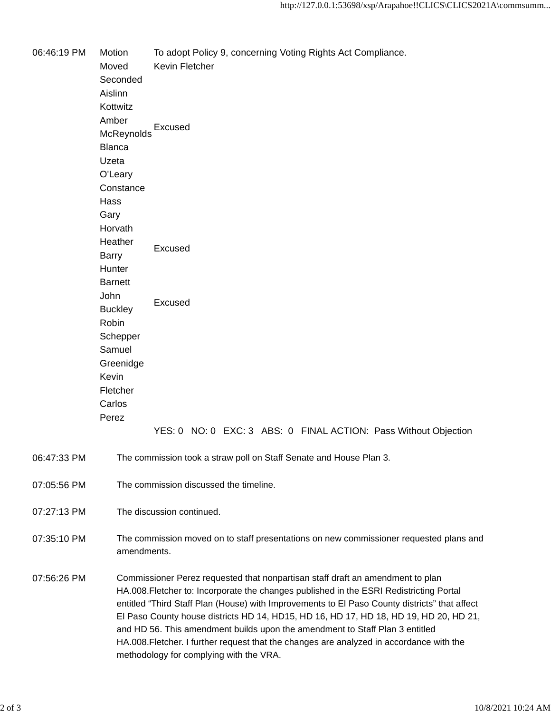06:46:19 PM Motion To adopt Policy 9, concerning Voting Rights Act Compliance. Moved Kevin Fletcher Seconded Aislinn Kottwitz Amber **McReynolds** Excused Blanca Uzeta O'Leary **Constance** Hass Gary Horvath **Heather** Barry Excused **Hunter** Barnett John **Buckley** Excused Robin Schepper Samuel Greenidge Kevin Fletcher Carlos Perez YES: 0 NO: 0 EXC: 3 ABS: 0 FINAL ACTION: Pass Without Objection 06:47:33 PM The commission took a straw poll on Staff Senate and House Plan 3. 07:05:56 PM The commission discussed the timeline. 07:27:13 PM The discussion continued. 07:35:10 PM The commission moved on to staff presentations on new commissioner requested plans and amendments. 07:56:26 PM Commissioner Perez requested that nonpartisan staff draft an amendment to plan HA.008.Fletcher to: Incorporate the changes published in the ESRI Redistricting Portal entitled "Third Staff Plan (House) with Improvements to El Paso County districts" that affect El Paso County house districts HD 14, HD15, HD 16, HD 17, HD 18, HD 19, HD 20, HD 21, and HD 56. This amendment builds upon the amendment to Staff Plan 3 entitled